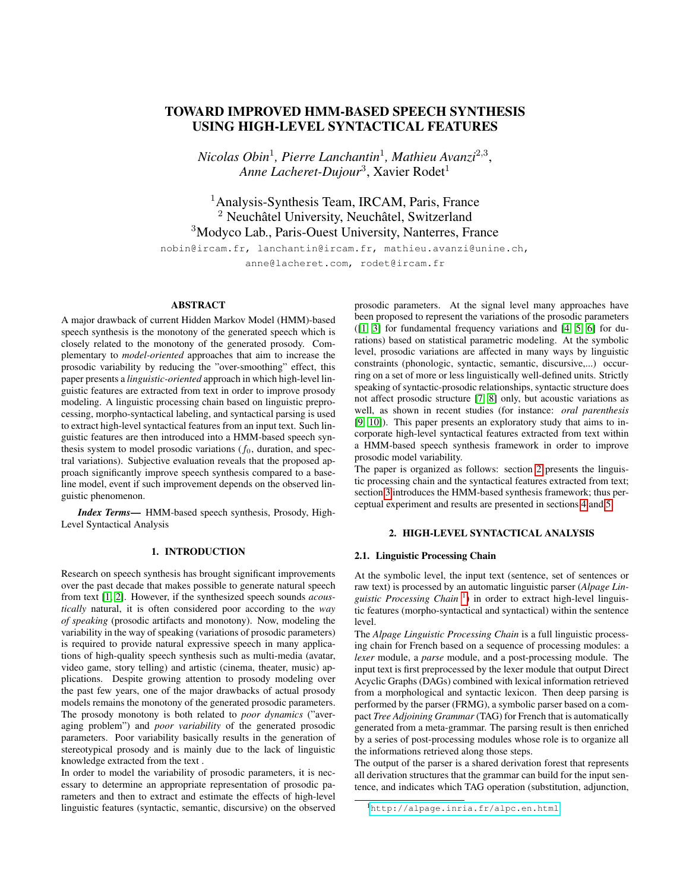# TOWARD IMPROVED HMM-BASED SPEECH SYNTHESIS USING HIGH-LEVEL SYNTACTICAL FEATURES

*Nicolas Obin*<sup>1</sup> *, Pierre Lanchantin*<sup>1</sup> *, Mathieu Avanzi*<sup>2</sup>,<sup>3</sup> , Anne Lacheret-Dujour<sup>3</sup>, Xavier Rodet<sup>1</sup>

<sup>1</sup>Analysis-Synthesis Team, IRCAM, Paris, France  $2$  Neuchâtel University, Neuchâtel, Switzerland <sup>3</sup>Modyco Lab., Paris-Ouest University, Nanterres, France

nobin@ircam.fr, lanchantin@ircam.fr, mathieu.avanzi@unine.ch, anne@lacheret.com, rodet@ircam.fr

### ABSTRACT

A major drawback of current Hidden Markov Model (HMM)-based speech synthesis is the monotony of the generated speech which is closely related to the monotony of the generated prosody. Complementary to *model-oriented* approaches that aim to increase the prosodic variability by reducing the "over-smoothing" effect, this paper presents a *linguistic-oriented* approach in which high-level linguistic features are extracted from text in order to improve prosody modeling. A linguistic processing chain based on linguistic preprocessing, morpho-syntactical labeling, and syntactical parsing is used to extract high-level syntactical features from an input text. Such linguistic features are then introduced into a HMM-based speech synthesis system to model prosodic variations  $(f_0)$ , duration, and spectral variations). Subjective evaluation reveals that the proposed approach significantly improve speech synthesis compared to a baseline model, event if such improvement depends on the observed linguistic phenomenon.

*Index Terms*— HMM-based speech synthesis, Prosody, High-Level Syntactical Analysis

### 1. INTRODUCTION

Research on speech synthesis has brought significant improvements over the past decade that makes possible to generate natural speech from text [\[1,](#page-3-0) [2\]](#page-3-1). However, if the synthesized speech sounds *acoustically* natural, it is often considered poor according to the *way of speaking* (prosodic artifacts and monotony). Now, modeling the variability in the way of speaking (variations of prosodic parameters) is required to provide natural expressive speech in many applications of high-quality speech synthesis such as multi-media (avatar, video game, story telling) and artistic (cinema, theater, music) applications. Despite growing attention to prosody modeling over the past few years, one of the major drawbacks of actual prosody models remains the monotony of the generated prosodic parameters. The prosody monotony is both related to *poor dynamics* ("averaging problem") and *poor variability* of the generated prosodic parameters. Poor variability basically results in the generation of stereotypical prosody and is mainly due to the lack of linguistic knowledge extracted from the text .

In order to model the variability of prosodic parameters, it is necessary to determine an appropriate representation of prosodic parameters and then to extract and estimate the effects of high-level linguistic features (syntactic, semantic, discursive) on the observed prosodic parameters. At the signal level many approaches have been proposed to represent the variations of the prosodic parameters ([\[1,](#page-3-0) [3\]](#page-3-2) for fundamental frequency variations and [\[4,](#page-3-3) [5,](#page-3-4) [6\]](#page-3-5) for durations) based on statistical parametric modeling. At the symbolic level, prosodic variations are affected in many ways by linguistic constraints (phonologic, syntactic, semantic, discursive,...) occurring on a set of more or less linguistically well-defined units. Strictly speaking of syntactic-prosodic relationships, syntactic structure does not affect prosodic structure [\[7,](#page-3-6) [8\]](#page-3-7) only, but acoustic variations as well, as shown in recent studies (for instance: *oral parenthesis* [\[9,](#page-3-8) [10\]](#page-3-9)). This paper presents an exploratory study that aims to incorporate high-level syntactical features extracted from text within a HMM-based speech synthesis framework in order to improve prosodic model variability.

The paper is organized as follows: section [2](#page-0-0) presents the linguistic processing chain and the syntactical features extracted from text; section [3](#page-1-0) introduces the HMM-based synthesis framework; thus perceptual experiment and results are presented in sections [4](#page-2-0) and [5.](#page-3-10)

### 2. HIGH-LEVEL SYNTACTICAL ANALYSIS

### <span id="page-0-2"></span><span id="page-0-0"></span>2.1. Linguistic Processing Chain

At the symbolic level, the input text (sentence, set of sentences or raw text) is processed by an automatic linguistic parser (*Alpage Lin-*guistic Processing Chain<sup>[1](#page-0-1)</sup>) in order to extract high-level linguistic features (morpho-syntactical and syntactical) within the sentence level.

The *Alpage Linguistic Processing Chain* is a full linguistic processing chain for French based on a sequence of processing modules: a *lexer* module, a *parse* module, and a post-processing module. The input text is first preprocessed by the lexer module that output Direct Acyclic Graphs (DAGs) combined with lexical information retrieved from a morphological and syntactic lexicon. Then deep parsing is performed by the parser (FRMG), a symbolic parser based on a compact *Tree Adjoining Grammar* (TAG) for French that is automatically generated from a meta-grammar. The parsing result is then enriched by a series of post-processing modules whose role is to organize all the informations retrieved along those steps.

The output of the parser is a shared derivation forest that represents all derivation structures that the grammar can build for the input sentence, and indicates which TAG operation (substitution, adjunction,

<span id="page-0-1"></span><sup>1</sup><http://alpage.inria.fr/alpc.en.html>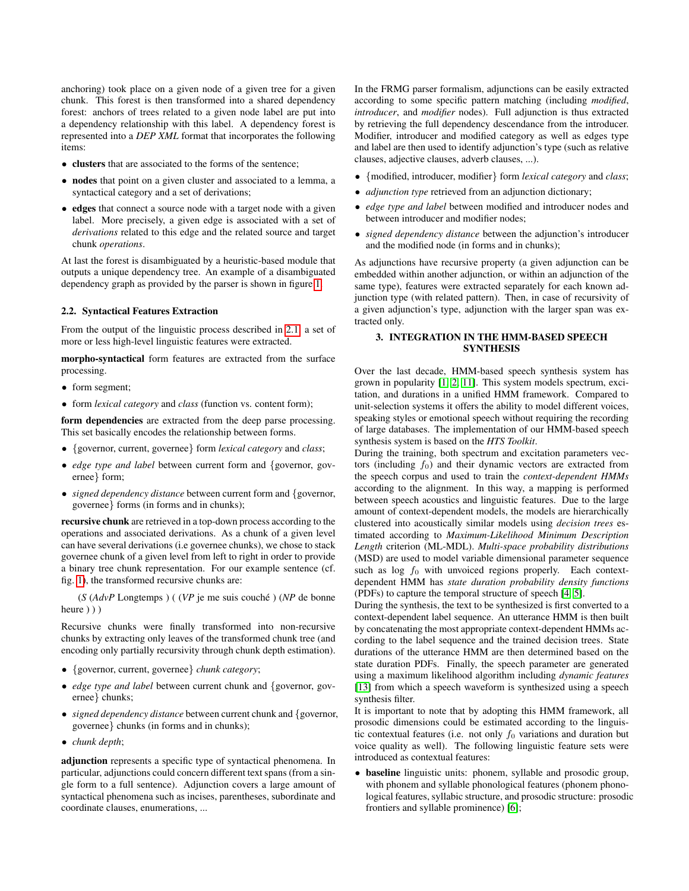anchoring) took place on a given node of a given tree for a given chunk. This forest is then transformed into a shared dependency forest: anchors of trees related to a given node label are put into a dependency relationship with this label. A dependency forest is represented into a *DEP XML* format that incorporates the following items:

- **clusters** that are associated to the forms of the sentence:
- nodes that point on a given cluster and associated to a lemma, a syntactical category and a set of derivations;
- edges that connect a source node with a target node with a given label. More precisely, a given edge is associated with a set of *derivations* related to this edge and the related source and target chunk *operations*.

At last the forest is disambiguated by a heuristic-based module that outputs a unique dependency tree. An example of a disambiguated dependency graph as provided by the parser is shown in figure [1.](#page-2-1)

### 2.2. Syntactical Features Extraction

From the output of the linguistic process described in [2.1,](#page-0-2) a set of more or less high-level linguistic features were extracted.

morpho-syntactical form features are extracted from the surface processing.

- form segment;
- form *lexical category* and *class* (function vs. content form);

form dependencies are extracted from the deep parse processing. This set basically encodes the relationship between forms.

- {governor, current, governee} form *lexical category* and *class*;
- *edge type and label* between current form and {governor, governee} form;
- *signed dependency distance* between current form and {governor, governee} forms (in forms and in chunks);

recursive chunk are retrieved in a top-down process according to the operations and associated derivations. As a chunk of a given level can have several derivations (i.e governee chunks), we chose to stack governee chunk of a given level from left to right in order to provide a binary tree chunk representation. For our example sentence (cf. fig. [1\)](#page-2-1), the transformed recursive chunks are:

(*S* (*AdvP* Longtemps) ((*VP* je me suis couché) (*NP* de bonne heure  $)$ )

Recursive chunks were finally transformed into non-recursive chunks by extracting only leaves of the transformed chunk tree (and encoding only partially recursivity through chunk depth estimation).

- {governor, current, governee} *chunk category*;
- *edge type and label* between current chunk and {governor, governee} chunks;
- *signed dependency distance* between current chunk and {governor, governee} chunks (in forms and in chunks);
- *chunk depth*;

adjunction represents a specific type of syntactical phenomena. In particular, adjunctions could concern different text spans (from a single form to a full sentence). Adjunction covers a large amount of syntactical phenomena such as incises, parentheses, subordinate and coordinate clauses, enumerations, ...

In the FRMG parser formalism, adjunctions can be easily extracted according to some specific pattern matching (including *modified*, *introducer*, and *modifier* nodes). Full adjunction is thus extracted by retrieving the full dependency descendance from the introducer. Modifier, introducer and modified category as well as edges type and label are then used to identify adjunction's type (such as relative clauses, adjective clauses, adverb clauses, ...).

- {modified, introducer, modifier} form *lexical category* and *class*;
- *adjunction type* retrieved from an adjunction dictionary;
- *edge type and label* between modified and introducer nodes and between introducer and modifier nodes;
- *signed dependency distance* between the adjunction's introducer and the modified node (in forms and in chunks);

As adjunctions have recursive property (a given adjunction can be embedded within another adjunction, or within an adjunction of the same type), features were extracted separately for each known adjunction type (with related pattern). Then, in case of recursivity of a given adjunction's type, adjunction with the larger span was extracted only.

### <span id="page-1-0"></span>3. INTEGRATION IN THE HMM-BASED SPEECH **SYNTHESIS**

Over the last decade, HMM-based speech synthesis system has grown in popularity [\[1,](#page-3-0) [2,](#page-3-1) [11\]](#page-3-11). This system models spectrum, excitation, and durations in a unified HMM framework. Compared to unit-selection systems it offers the ability to model different voices, speaking styles or emotional speech without requiring the recording of large databases. The implementation of our HMM-based speech synthesis system is based on the *HTS Toolkit*.

During the training, both spectrum and excitation parameters vectors (including  $f_0$ ) and their dynamic vectors are extracted from the speech corpus and used to train the *context-dependent HMMs* according to the alignment. In this way, a mapping is performed between speech acoustics and linguistic features. Due to the large amount of context-dependent models, the models are hierarchically clustered into acoustically similar models using *decision trees* estimated according to *Maximum-Likelihood Minimum Description Length* criterion (ML-MDL). *Multi-space probability distributions* (MSD) are used to model variable dimensional parameter sequence such as  $log\ f_0$  with unvoiced regions properly. Each contextdependent HMM has *state duration probability density functions* (PDFs) to capture the temporal structure of speech [\[4,](#page-3-3) [5\]](#page-3-4).

During the synthesis, the text to be synthesized is first converted to a context-dependent label sequence. An utterance HMM is then built by concatenating the most appropriate context-dependent HMMs according to the label sequence and the trained decision trees. State durations of the utterance HMM are then determined based on the state duration PDFs. Finally, the speech parameter are generated using a maximum likelihood algorithm including *dynamic features* [\[13\]](#page-3-12) from which a speech waveform is synthesized using a speech synthesis filter.

It is important to note that by adopting this HMM framework, all prosodic dimensions could be estimated according to the linguistic contextual features (i.e. not only  $f_0$  variations and duration but voice quality as well). The following linguistic feature sets were introduced as contextual features:

• baseline linguistic units: phonem, syllable and prosodic group, with phonem and syllable phonological features (phonem phonological features, syllabic structure, and prosodic structure: prosodic frontiers and syllable prominence) [\[6\]](#page-3-5);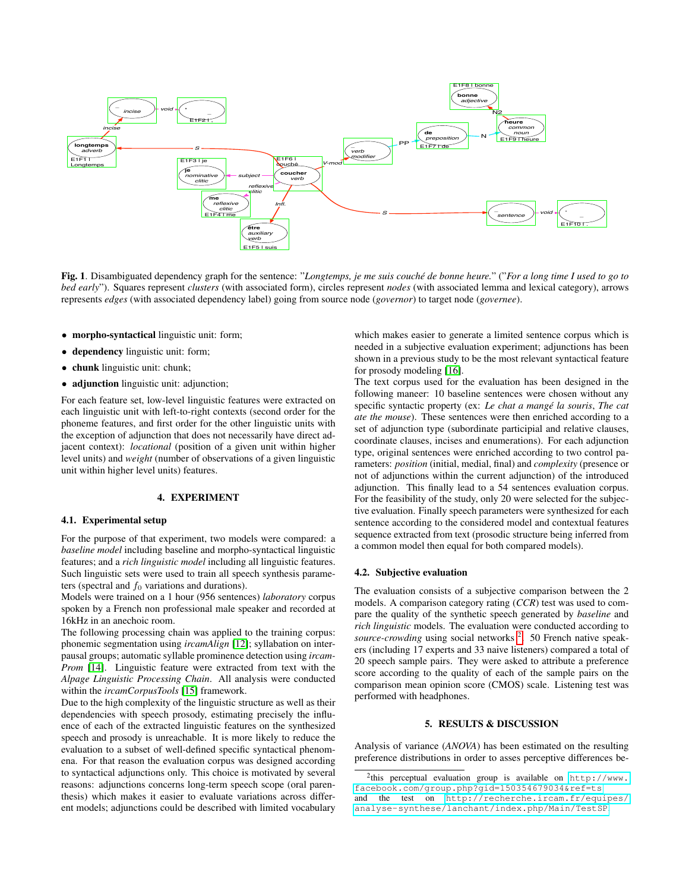

<span id="page-2-1"></span>Fig. 1. Disambiguated dependency graph for the sentence: "*Longtemps, je me suis couche de bonne heure. ´* " ("*For a long time I used to go to bed early*"). Squares represent *clusters* (with associated form), circles represent *nodes* (with associated lemma and lexical category), arrows represents *edges* (with associated dependency label) going from source node (*governor*) to target node (*governee*).

- morpho-syntactical linguistic unit: form;
- dependency linguistic unit: form;
- chunk linguistic unit: chunk;
- adjunction linguistic unit: adjunction;

For each feature set, low-level linguistic features were extracted on each linguistic unit with left-to-right contexts (second order for the phoneme features, and first order for the other linguistic units with the exception of adjunction that does not necessarily have direct adjacent context): *locational* (position of a given unit within higher level units) and *weight* (number of observations of a given linguistic unit within higher level units) features.

#### 4. EXPERIMENT

# <span id="page-2-0"></span>4.1. Experimental setup

For the purpose of that experiment, two models were compared: a *baseline model* including baseline and morpho-syntactical linguistic features; and a *rich linguistic model* including all linguistic features. Such linguistic sets were used to train all speech synthesis parameters (spectral and  $f_0$  variations and durations).

Models were trained on a 1 hour (956 sentences) *laboratory* corpus spoken by a French non professional male speaker and recorded at 16kHz in an anechoic room.

The following processing chain was applied to the training corpus: phonemic segmentation using *ircamAlign* [\[12\]](#page-3-13); syllabation on interpausal groups; automatic syllable prominence detection using *ircam-Prom* [\[14\]](#page-3-14). Linguistic feature were extracted from text with the *Alpage Linguistic Processing Chain*. All analysis were conducted within the *ircamCorpusTools* [\[15\]](#page-3-15) framework.

Due to the high complexity of the linguistic structure as well as their dependencies with speech prosody, estimating precisely the influence of each of the extracted linguistic features on the synthesized speech and prosody is unreachable. It is more likely to reduce the evaluation to a subset of well-defined specific syntactical phenomena. For that reason the evaluation corpus was designed according to syntactical adjunctions only. This choice is motivated by several reasons: adjunctions concerns long-term speech scope (oral parenthesis) which makes it easier to evaluate variations across different models; adjunctions could be described with limited vocabulary

which makes easier to generate a limited sentence corpus which is needed in a subjective evaluation experiment; adjunctions has been shown in a previous study to be the most relevant syntactical feature for prosody modeling [\[16\]](#page-3-16).

The text corpus used for the evaluation has been designed in the following maneer: 10 baseline sentences were chosen without any specific syntactic property (ex: *Le chat a mange la souris ´* , *The cat ate the mouse*). These sentences were then enriched according to a set of adjunction type (subordinate participial and relative clauses, coordinate clauses, incises and enumerations). For each adjunction type, original sentences were enriched according to two control parameters: *position* (initial, medial, final) and *complexity* (presence or not of adjunctions within the current adjunction) of the introduced adjunction. This finally lead to a 54 sentences evaluation corpus. For the feasibility of the study, only 20 were selected for the subjective evaluation. Finally speech parameters were synthesized for each sentence according to the considered model and contextual features sequence extracted from text (prosodic structure being inferred from a common model then equal for both compared models).

#### 4.2. Subjective evaluation

The evaluation consists of a subjective comparison between the 2 models. A comparison category rating (*CCR*) test was used to compare the quality of the synthetic speech generated by *baseline* and *rich linguistic* models. The evaluation were conducted according to source-crowding using social networks <sup>[2](#page-2-2)</sup>. 50 French native speakers (including 17 experts and 33 naive listeners) compared a total of 20 speech sample pairs. They were asked to attribute a preference score according to the quality of each of the sample pairs on the comparison mean opinion score (CMOS) scale. Listening test was performed with headphones.

## 5. RESULTS & DISCUSSION

Analysis of variance (*ANOVA*) has been estimated on the resulting preference distributions in order to asses perceptive differences be-

<span id="page-2-2"></span><sup>&</sup>lt;sup>2</sup>this perceptual evaluation group is available on [http://www.](http://www.facebook.com/group.php?gid=150354679034&ref=ts) [facebook.com/group.php?gid=150354679034&ref=ts](http://www.facebook.com/group.php?gid=150354679034&ref=ts) and the test on [http://recherche.ircam.fr/equipes/](http://recherche.ircam.fr/equipes/analyse-synthese/lanchant/index.php/Main/TestSP) [analyse-synthese/lanchant/index.php/Main/TestSP](http://recherche.ircam.fr/equipes/analyse-synthese/lanchant/index.php/Main/TestSP).